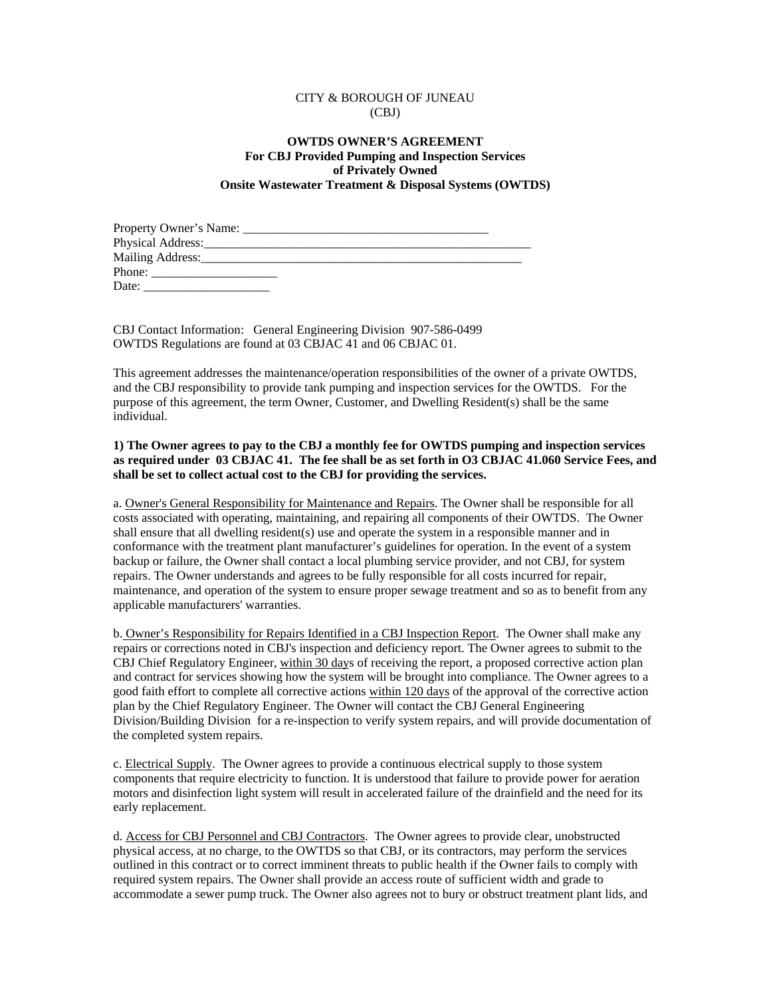## CITY & BOROUGH OF JUNEAU (CBJ)

## **OWTDS OWNER'S AGREEMENT For CBJ Provided Pumping and Inspection Services of Privately Owned Onsite Wastewater Treatment & Disposal Systems (OWTDS)**

| Physical Address:                 |  |
|-----------------------------------|--|
| Mailing Address: Mailing Address: |  |
| Phone:                            |  |
| Date:                             |  |

CBJ Contact Information: General Engineering Division 907-586-0499 OWTDS Regulations are found at 03 CBJAC 41 and 06 CBJAC 01.

This agreement addresses the maintenance/operation responsibilities of the owner of a private OWTDS, and the CBJ responsibility to provide tank pumping and inspection services for the OWTDS. For the purpose of this agreement, the term Owner, Customer, and Dwelling Resident(s) shall be the same individual.

## **1) The Owner agrees to pay to the CBJ a monthly fee for OWTDS pumping and inspection services as required under 03 CBJAC 41. The fee shall be as set forth in O3 CBJAC 41.060 Service Fees, and shall be set to collect actual cost to the CBJ for providing the services.**

a. Owner's General Responsibility for Maintenance and Repairs. The Owner shall be responsible for all costs associated with operating, maintaining, and repairing all components of their OWTDS. The Owner shall ensure that all dwelling resident(s) use and operate the system in a responsible manner and in conformance with the treatment plant manufacturer's guidelines for operation. In the event of a system backup or failure, the Owner shall contact a local plumbing service provider, and not CBJ, for system repairs. The Owner understands and agrees to be fully responsible for all costs incurred for repair, maintenance, and operation of the system to ensure proper sewage treatment and so as to benefit from any applicable manufacturers' warranties.

b. Owner's Responsibility for Repairs Identified in a CBJ Inspection Report. The Owner shall make any repairs or corrections noted in CBJ's inspection and deficiency report. The Owner agrees to submit to the CBJ Chief Regulatory Engineer, within 30 days of receiving the report, a proposed corrective action plan and contract for services showing how the system will be brought into compliance. The Owner agrees to a good faith effort to complete all corrective actions within 120 days of the approval of the corrective action plan by the Chief Regulatory Engineer. The Owner will contact the CBJ General Engineering Division/Building Division for a re-inspection to verify system repairs, and will provide documentation of the completed system repairs.

c. Electrical Supply. The Owner agrees to provide a continuous electrical supply to those system components that require electricity to function. It is understood that failure to provide power for aeration motors and disinfection light system will result in accelerated failure of the drainfield and the need for its early replacement.

d. Access for CBJ Personnel and CBJ Contractors. The Owner agrees to provide clear, unobstructed physical access, at no charge, to the OWTDS so that CBJ, or its contractors, may perform the services outlined in this contract or to correct imminent threats to public health if the Owner fails to comply with required system repairs. The Owner shall provide an access route of sufficient width and grade to accommodate a sewer pump truck. The Owner also agrees not to bury or obstruct treatment plant lids, and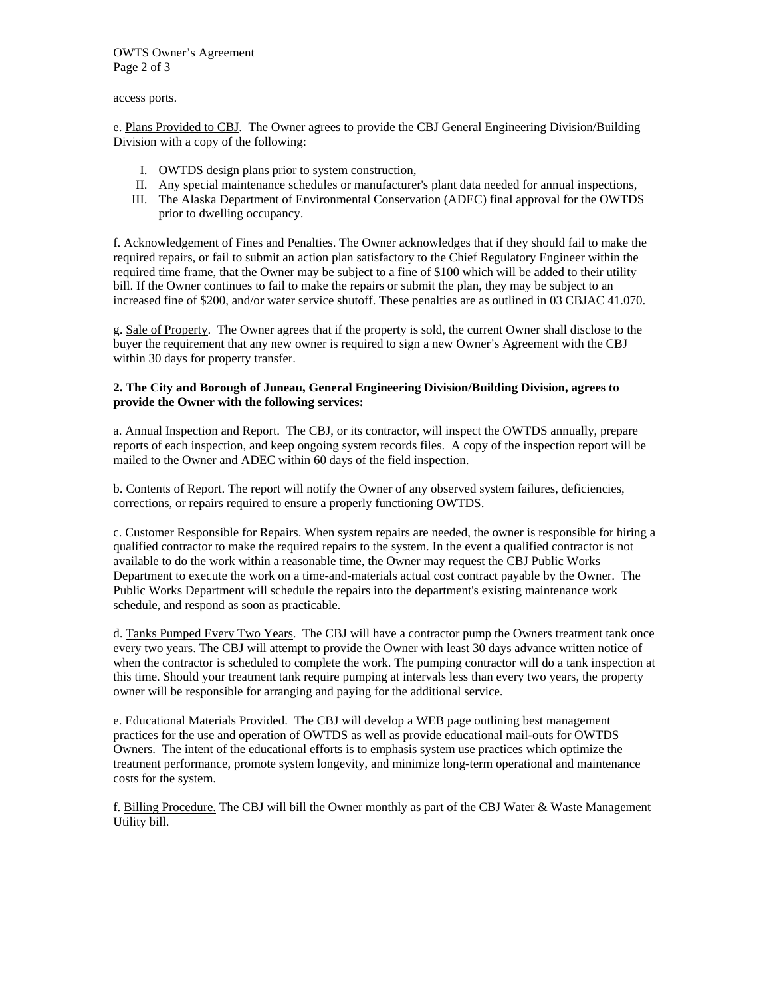OWTS Owner's Agreement Page 2 of 3

access ports.

e. Plans Provided to CBJ. The Owner agrees to provide the CBJ General Engineering Division/Building Division with a copy of the following:

- I. OWTDS design plans prior to system construction,
- II. Any special maintenance schedules or manufacturer's plant data needed for annual inspections,
- III. The Alaska Department of Environmental Conservation (ADEC) final approval for the OWTDS prior to dwelling occupancy.

f. Acknowledgement of Fines and Penalties. The Owner acknowledges that if they should fail to make the required repairs, or fail to submit an action plan satisfactory to the Chief Regulatory Engineer within the required time frame, that the Owner may be subject to a fine of \$100 which will be added to their utility bill. If the Owner continues to fail to make the repairs or submit the plan, they may be subject to an increased fine of \$200, and/or water service shutoff. These penalties are as outlined in 03 CBJAC 41.070.

g. Sale of Property. The Owner agrees that if the property is sold, the current Owner shall disclose to the buyer the requirement that any new owner is required to sign a new Owner's Agreement with the CBJ within 30 days for property transfer.

## **2. The City and Borough of Juneau, General Engineering Division/Building Division, agrees to provide the Owner with the following services:**

a. Annual Inspection and Report. The CBJ, or its contractor, will inspect the OWTDS annually, prepare reports of each inspection, and keep ongoing system records files. A copy of the inspection report will be mailed to the Owner and ADEC within 60 days of the field inspection.

b. Contents of Report. The report will notify the Owner of any observed system failures, deficiencies, corrections, or repairs required to ensure a properly functioning OWTDS.

c. Customer Responsible for Repairs. When system repairs are needed, the owner is responsible for hiring a qualified contractor to make the required repairs to the system. In the event a qualified contractor is not available to do the work within a reasonable time, the Owner may request the CBJ Public Works Department to execute the work on a time-and-materials actual cost contract payable by the Owner. The Public Works Department will schedule the repairs into the department's existing maintenance work schedule, and respond as soon as practicable.

d. Tanks Pumped Every Two Years. The CBJ will have a contractor pump the Owners treatment tank once every two years. The CBJ will attempt to provide the Owner with least 30 days advance written notice of when the contractor is scheduled to complete the work. The pumping contractor will do a tank inspection at this time. Should your treatment tank require pumping at intervals less than every two years, the property owner will be responsible for arranging and paying for the additional service.

e. Educational Materials Provided. The CBJ will develop a WEB page outlining best management practices for the use and operation of OWTDS as well as provide educational mail-outs for OWTDS Owners. The intent of the educational efforts is to emphasis system use practices which optimize the treatment performance, promote system longevity, and minimize long-term operational and maintenance costs for the system.

f. Billing Procedure. The CBJ will bill the Owner monthly as part of the CBJ Water & Waste Management Utility bill.